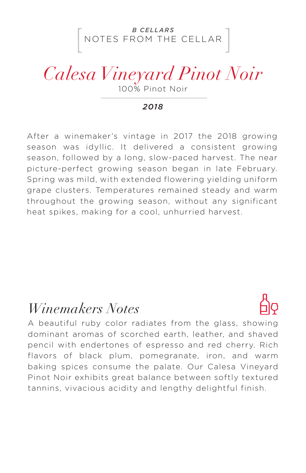NOTES FROM THE CELLAR *B CELLARS*

# *Calesa Vineyard Pinot Noir*

100% Pinot Noir

#### *2018*

After a winemaker's vintage in 2017 the 2018 growing season was idyllic. It delivered a consistent growing season, followed by a long, slow-paced harvest. The near picture-perfect growing season began in late February. Spring was mild, with extended flowering yielding uniform grape clusters. Temperatures remained steady and warm throughout the growing season, without any significant heat spikes, making for a cool, unhurried harvest.

### *Winemakers Notes*



A beautiful ruby color radiates from the glass, showing dominant aromas of scorched earth, leather, and shaved pencil with endertones of espresso and red cherry. Rich flavors of black plum, pomegranate, iron, and warm baking spices consume the palate. Our Calesa Vineyard Pinot Noir exhibits great balance between softly textured tannins, vivacious acidity and lengthy delightful finish.